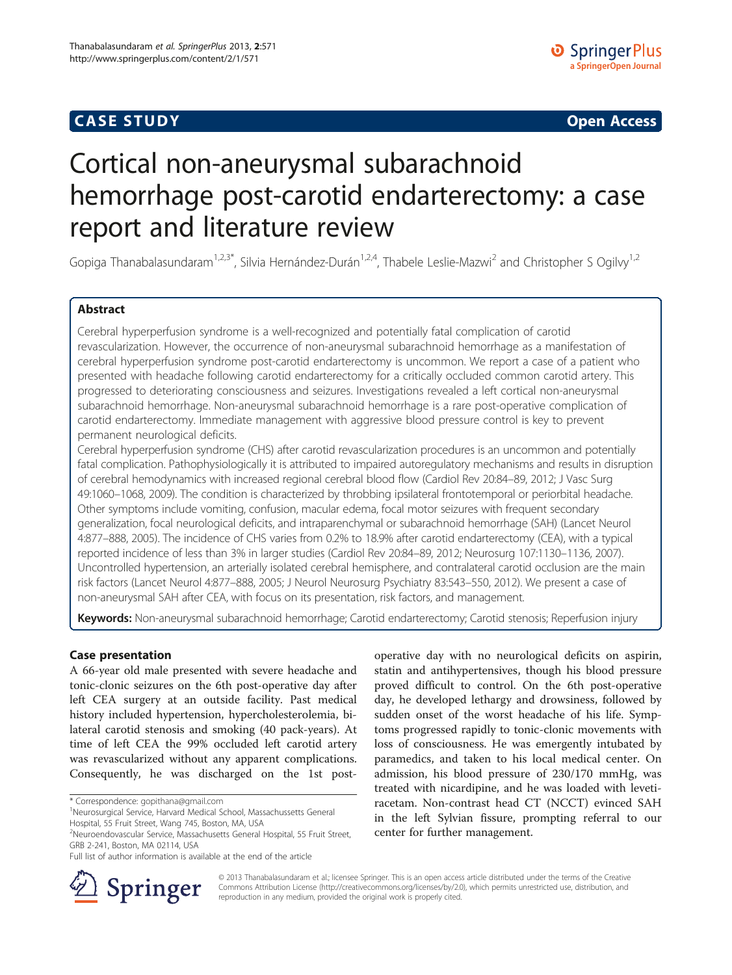# CA S E S TUDY Open Access

# Cortical non-aneurysmal subarachnoid hemorrhage post-carotid endarterectomy: a case report and literature review

Gopiga Thanabalasundaram<sup>1,2,3\*</sup>, Silvia Hernández-Durán<sup>1,2,4</sup>, Thabele Leslie-Mazwi<sup>2</sup> and Christopher S Ogilvy<sup>1,2</sup>

# **Abstract**

Cerebral hyperperfusion syndrome is a well-recognized and potentially fatal complication of carotid revascularization. However, the occurrence of non-aneurysmal subarachnoid hemorrhage as a manifestation of cerebral hyperperfusion syndrome post-carotid endarterectomy is uncommon. We report a case of a patient who presented with headache following carotid endarterectomy for a critically occluded common carotid artery. This progressed to deteriorating consciousness and seizures. Investigations revealed a left cortical non-aneurysmal subarachnoid hemorrhage. Non-aneurysmal subarachnoid hemorrhage is a rare post-operative complication of carotid endarterectomy. Immediate management with aggressive blood pressure control is key to prevent permanent neurological deficits.

Cerebral hyperperfusion syndrome (CHS) after carotid revascularization procedures is an uncommon and potentially fatal complication. Pathophysiologically it is attributed to impaired autoregulatory mechanisms and results in disruption of cerebral hemodynamics with increased regional cerebral blood flow (Cardiol Rev 20:84–89, 2012; J Vasc Surg 49:1060–1068, 2009). The condition is characterized by throbbing ipsilateral frontotemporal or periorbital headache. Other symptoms include vomiting, confusion, macular edema, focal motor seizures with frequent secondary generalization, focal neurological deficits, and intraparenchymal or subarachnoid hemorrhage (SAH) (Lancet Neurol 4:877–888, 2005). The incidence of CHS varies from 0.2% to 18.9% after carotid endarterectomy (CEA), with a typical reported incidence of less than 3% in larger studies (Cardiol Rev 20:84–89, 2012; Neurosurg 107:1130–1136, 2007). Uncontrolled hypertension, an arterially isolated cerebral hemisphere, and contralateral carotid occlusion are the main risk factors (Lancet Neurol 4:877–888, 2005; J Neurol Neurosurg Psychiatry 83:543–550, 2012). We present a case of non-aneurysmal SAH after CEA, with focus on its presentation, risk factors, and management.

Keywords: Non-aneurysmal subarachnoid hemorrhage; Carotid endarterectomy; Carotid stenosis; Reperfusion injury

A 66-year old male presented with severe headache and tonic-clonic seizures on the 6th post-operative day after left CEA surgery at an outside facility. Past medical history included hypertension, hypercholesterolemia, bilateral carotid stenosis and smoking (40 pack-years). At time of left CEA the 99% occluded left carotid artery was revascularized without any apparent complications. Consequently, he was discharged on the 1st post-

Hospital, 55 Fruit Street, Wang 745, Boston, MA, USA

operative day with no neurological deficits on aspirin, statin and antihypertensives, though his blood pressure proved difficult to control. On the 6th post-operative day, he developed lethargy and drowsiness, followed by sudden onset of the worst headache of his life. Symptoms progressed rapidly to tonic-clonic movements with loss of consciousness. He was emergently intubated by paramedics, and taken to his local medical center. On admission, his blood pressure of 230/170 mmHg, was treated with nicardipine, and he was loaded with levetiracetam. Non-contrast head CT (NCCT) evinced SAH in the left Sylvian fissure, prompting referral to our center for further management.



© 2013 Thanabalasundaram et al.; licensee Springer. This is an open access article distributed under the terms of the Creative Commons Attribution License (<http://creativecommons.org/licenses/by/2.0>), which permits unrestricted use, distribution, and reproduction in any medium, provided the original work is properly cited.

<sup>\*</sup> Correspondence: [gopithana@gmail.com](mailto:gopithana@gmail.com) <sup>1</sup>

<sup>&</sup>lt;sup>1</sup>Neurosurgical Service, Harvard Medical School, Massachussetts General

<sup>2</sup> Neuroendovascular Service, Massachusetts General Hospital, 55 Fruit Street, GRB 2-241, Boston, MA 02114, USA

Full list of author information is available at the end of the article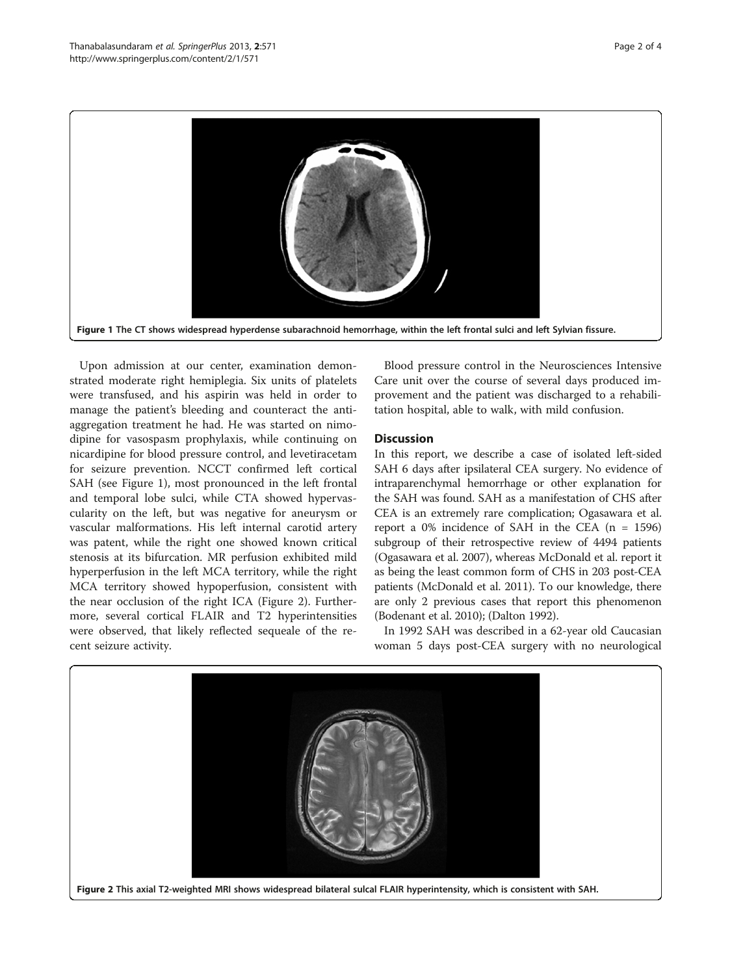

Upon admission at our center, examination demonstrated moderate right hemiplegia. Six units of platelets were transfused, and his aspirin was held in order to manage the patient's bleeding and counteract the antiaggregation treatment he had. He was started on nimodipine for vasospasm prophylaxis, while continuing on nicardipine for blood pressure control, and levetiracetam for seizure prevention. NCCT confirmed left cortical SAH (see Figure 1), most pronounced in the left frontal and temporal lobe sulci, while CTA showed hypervascularity on the left, but was negative for aneurysm or vascular malformations. His left internal carotid artery was patent, while the right one showed known critical stenosis at its bifurcation. MR perfusion exhibited mild hyperperfusion in the left MCA territory, while the right MCA territory showed hypoperfusion, consistent with the near occlusion of the right ICA (Figure 2). Furthermore, several cortical FLAIR and T2 hyperintensities were observed, that likely reflected sequeale of the recent seizure activity.

Blood pressure control in the Neurosciences Intensive Care unit over the course of several days produced improvement and the patient was discharged to a rehabilitation hospital, able to walk, with mild confusion.

# **Discussion**

In this report, we describe a case of isolated left-sided SAH 6 days after ipsilateral CEA surgery. No evidence of intraparenchymal hemorrhage or other explanation for the SAH was found. SAH as a manifestation of CHS after CEA is an extremely rare complication; Ogasawara et al. report a  $0\%$  incidence of SAH in the CEA (n = 1596) subgroup of their retrospective review of 4494 patients (Ogasawara et al. [2007](#page-2-0)), whereas McDonald et al. report it as being the least common form of CHS in 203 post-CEA patients (McDonald et al. [2011](#page-2-0)). To our knowledge, there are only 2 previous cases that report this phenomenon (Bodenant et al. [2010](#page-2-0)); (Dalton [1992\)](#page-2-0).

In 1992 SAH was described in a 62-year old Caucasian woman 5 days post-CEA surgery with no neurological

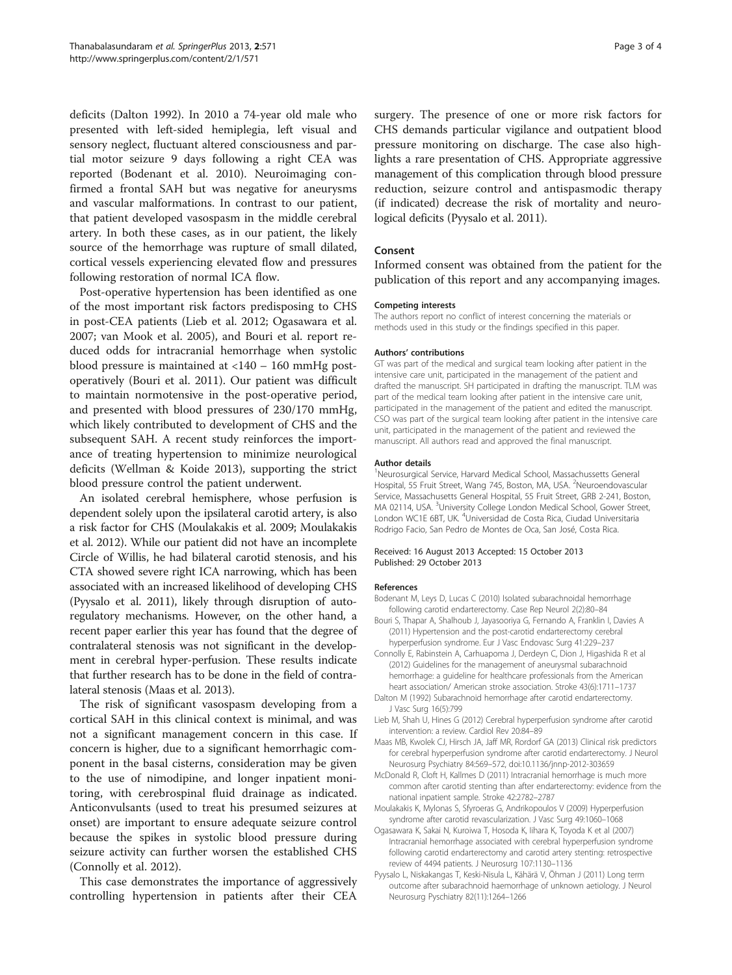<span id="page-2-0"></span>deficits (Dalton 1992). In 2010 a 74-year old male who presented with left-sided hemiplegia, left visual and sensory neglect, fluctuant altered consciousness and partial motor seizure 9 days following a right CEA was reported (Bodenant et al. 2010). Neuroimaging confirmed a frontal SAH but was negative for aneurysms and vascular malformations. In contrast to our patient, that patient developed vasospasm in the middle cerebral artery. In both these cases, as in our patient, the likely source of the hemorrhage was rupture of small dilated, cortical vessels experiencing elevated flow and pressures following restoration of normal ICA flow.

Post-operative hypertension has been identified as one of the most important risk factors predisposing to CHS in post-CEA patients (Lieb et al. 2012; Ogasawara et al. 2007; van Mook et al. [2005\)](#page-3-0), and Bouri et al. report reduced odds for intracranial hemorrhage when systolic blood pressure is maintained at <140 – 160 mmHg postoperatively (Bouri et al. 2011). Our patient was difficult to maintain normotensive in the post-operative period, and presented with blood pressures of 230/170 mmHg, which likely contributed to development of CHS and the subsequent SAH. A recent study reinforces the importance of treating hypertension to minimize neurological deficits (Wellman & Koide [2013](#page-3-0)), supporting the strict blood pressure control the patient underwent.

An isolated cerebral hemisphere, whose perfusion is dependent solely upon the ipsilateral carotid artery, is also a risk factor for CHS (Moulakakis et al. 2009; Moulakakis et al. [2012\)](#page-3-0). While our patient did not have an incomplete Circle of Willis, he had bilateral carotid stenosis, and his CTA showed severe right ICA narrowing, which has been associated with an increased likelihood of developing CHS (Pyysalo et al. 2011), likely through disruption of autoregulatory mechanisms. However, on the other hand, a recent paper earlier this year has found that the degree of contralateral stenosis was not significant in the development in cerebral hyper-perfusion. These results indicate that further research has to be done in the field of contralateral stenosis (Maas et al. 2013).

The risk of significant vasospasm developing from a cortical SAH in this clinical context is minimal, and was not a significant management concern in this case. If concern is higher, due to a significant hemorrhagic component in the basal cisterns, consideration may be given to the use of nimodipine, and longer inpatient monitoring, with cerebrospinal fluid drainage as indicated. Anticonvulsants (used to treat his presumed seizures at onset) are important to ensure adequate seizure control because the spikes in systolic blood pressure during seizure activity can further worsen the established CHS (Connolly et al. 2012).

This case demonstrates the importance of aggressively controlling hypertension in patients after their CEA

surgery. The presence of one or more risk factors for CHS demands particular vigilance and outpatient blood pressure monitoring on discharge. The case also highlights a rare presentation of CHS. Appropriate aggressive management of this complication through blood pressure reduction, seizure control and antispasmodic therapy (if indicated) decrease the risk of mortality and neurological deficits (Pyysalo et al. 2011).

## Consent

Informed consent was obtained from the patient for the publication of this report and any accompanying images.

### Competing interests

The authors report no conflict of interest concerning the materials or methods used in this study or the findings specified in this paper.

#### Authors' contributions

GT was part of the medical and surgical team looking after patient in the intensive care unit, participated in the management of the patient and drafted the manuscript. SH participated in drafting the manuscript. TLM was part of the medical team looking after patient in the intensive care unit, participated in the management of the patient and edited the manuscript. CSO was part of the surgical team looking after patient in the intensive care unit, participated in the management of the patient and reviewed the manuscript. All authors read and approved the final manuscript.

#### Author details

1 Neurosurgical Service, Harvard Medical School, Massachussetts General Hospital, 55 Fruit Street, Wang 745, Boston, MA, USA. <sup>2</sup>Neuroendovascular Service, Massachusetts General Hospital, 55 Fruit Street, GRB 2-241, Boston, MA 02114, USA. <sup>3</sup>University College London Medical School, Gower Street, London WC1E 6BT, UK. <sup>4</sup>Universidad de Costa Rica, Ciudad Universitaria Rodrigo Facio, San Pedro de Montes de Oca, San José, Costa Rica.

#### Received: 16 August 2013 Accepted: 15 October 2013 Published: 29 October 2013

#### References

- Bodenant M, Leys D, Lucas C (2010) Isolated subarachnoidal hemorrhage following carotid endarterectomy. Case Rep Neurol 2(2):80–84
- Bouri S, Thapar A, Shalhoub J, Jayasooriya G, Fernando A, Franklin I, Davies A (2011) Hypertension and the post-carotid endarterectomy cerebral hyperperfusion syndrome. Eur J Vasc Endovasc Surg 41:229–237
- Connolly E, Rabinstein A, Carhuapoma J, Derdeyn C, Dion J, Higashida R et al (2012) Guidelines for the management of aneurysmal subarachnoid hemorrhage: a guideline for healthcare professionals from the American heart association/ American stroke association. Stroke 43(6):1711–1737
- Dalton M (1992) Subarachnoid hemorrhage after carotid endarterectomy. J Vasc Surg 16(5):799
- Lieb M, Shah U, Hines G (2012) Cerebral hyperperfusion syndrome after carotid intervention: a review. Cardiol Rev 20:84–89
- Maas MB, Kwolek CJ, Hirsch JA, Jaff MR, Rordorf GA (2013) Clinical risk predictors for cerebral hyperperfusion syndrome after carotid endarterectomy. J Neurol Neurosurg Psychiatry 84:569–572, doi:10.1136/jnnp-2012-303659
- McDonald R, Cloft H, Kallmes D (2011) Intracranial hemorrhage is much more common after carotid stenting than after endarterectomy: evidence from the national inpatient sample. Stroke 42:2782–2787
- Moulakakis K, Mylonas S, Sfyroeras G, Andrikopoulos V (2009) Hyperperfusion syndrome after carotid revascularization. J Vasc Surg 49:1060–1068
- Ogasawara K, Sakai N, Kuroiwa T, Hosoda K, Iihara K, Toyoda K et al (2007) Intracranial hemorrhage associated with cerebral hyperperfusion syndrome following carotid endarterectomy and carotid artery stenting: retrospective review of 4494 patients. J Neurosurg 107:1130–1136
- Pyysalo L, Niskakangas T, Keski-Nisula L, Kähärä V, Öhman J (2011) Long term outcome after subarachnoid haemorrhage of unknown aetiology. J Neurol Neurosurg Pyschiatry 82(11):1264–1266